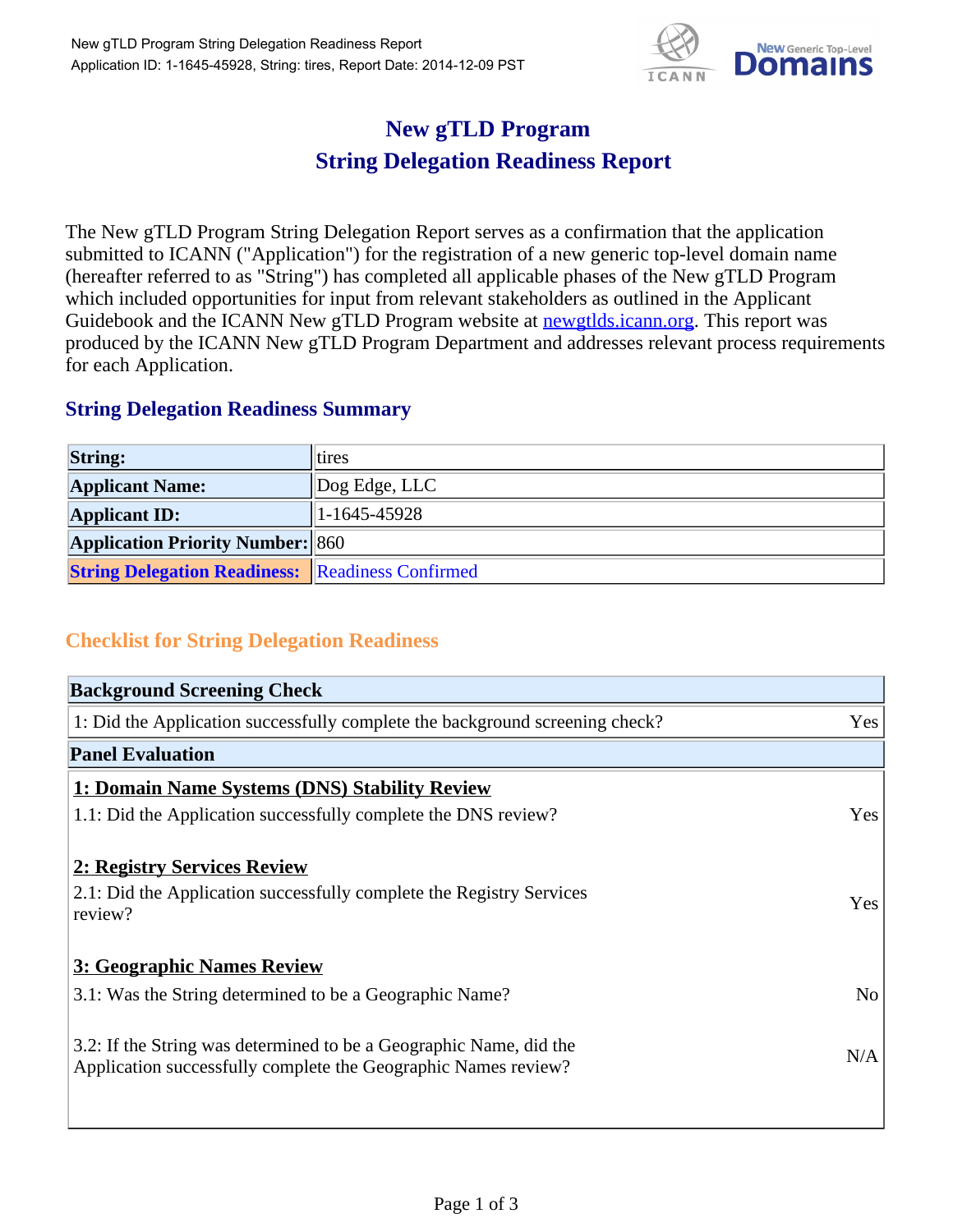

## **New gTLD Program String Delegation Readiness Report**

The New gTLD Program String Delegation Report serves as a confirmation that the application submitted to ICANN ("Application") for the registration of a new generic top-level domain name (hereafter referred to as "String") has completed all applicable phases of the New gTLD Program which included opportunities for input from relevant stakeholders as outlined in the Applicant Guidebook and the ICANN New gTLD Program website at newgtlds.icann.org. This report was produced by the ICANN New gTLD Program Department and addresses relevant process requirements for each Application.

## **String Delegation Readiness Summary**

| <b>String:</b>                                          | tires                 |
|---------------------------------------------------------|-----------------------|
| <b>Applicant Name:</b>                                  | $\vert$ Dog Edge, LLC |
| <b>Applicant ID:</b>                                    | $1-1645-45928$        |
| <b>Application Priority Number: 860</b>                 |                       |
| <b>String Delegation Readiness:</b> Readiness Confirmed |                       |

## **Checklist for String Delegation Readiness**

| <b>Background Screening Check</b>                                                                                                    |                |
|--------------------------------------------------------------------------------------------------------------------------------------|----------------|
| 1: Did the Application successfully complete the background screening check?                                                         | Yes            |
| <b>Panel Evaluation</b>                                                                                                              |                |
| 1: Domain Name Systems (DNS) Stability Review                                                                                        |                |
| 1.1: Did the Application successfully complete the DNS review?                                                                       | Yes            |
| 2: Registry Services Review                                                                                                          |                |
| 2.1: Did the Application successfully complete the Registry Services<br>review?                                                      | Yes            |
| 3: Geographic Names Review                                                                                                           |                |
| 3.1: Was the String determined to be a Geographic Name?                                                                              | N <sub>o</sub> |
| 3.2: If the String was determined to be a Geographic Name, did the<br>Application successfully complete the Geographic Names review? | N/A            |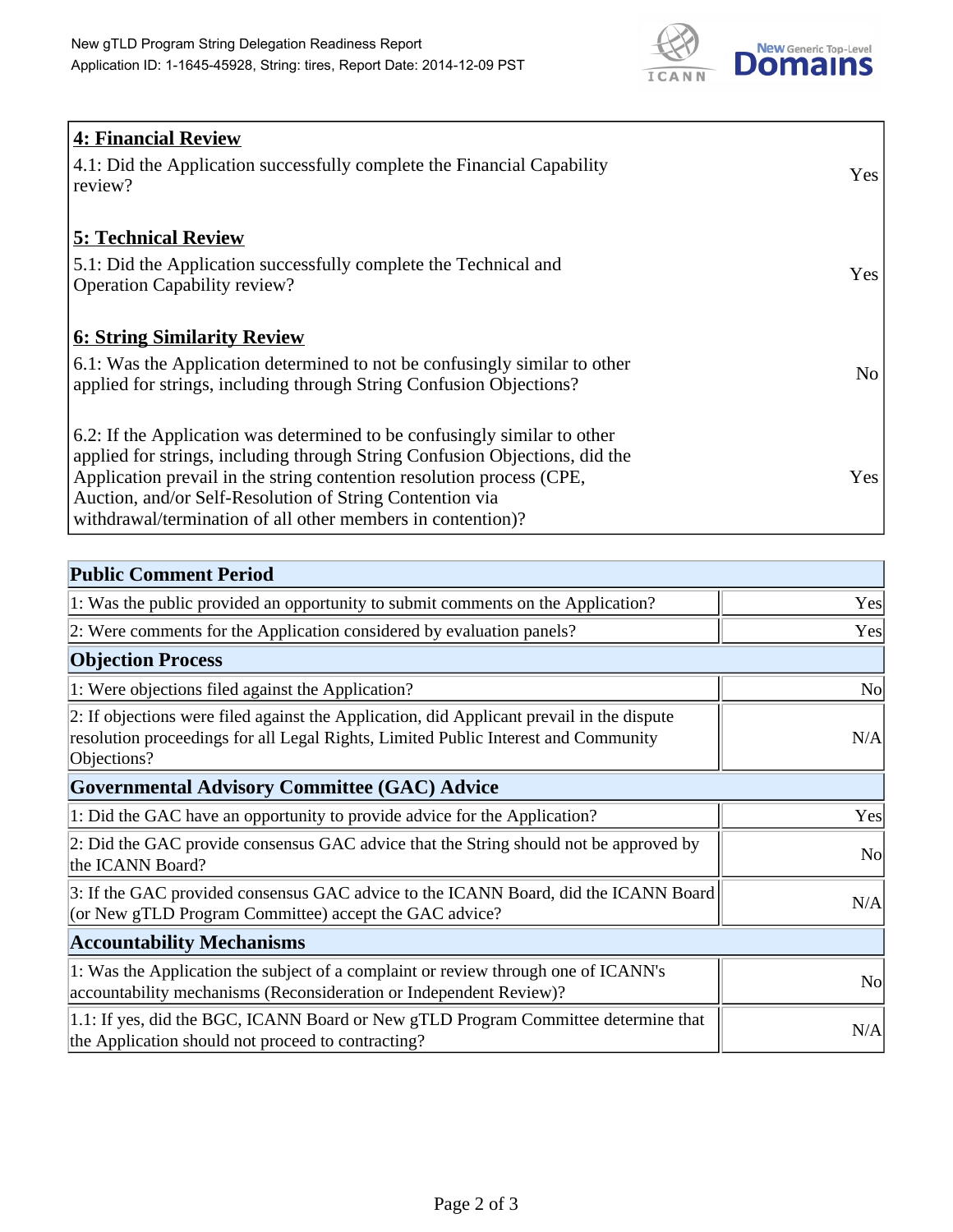

| <b>4: Financial Review</b>                                                         |     |
|------------------------------------------------------------------------------------|-----|
| $\vert$ 4.1: Did the Application successfully complete the Financial Capability    | Yes |
| review?                                                                            |     |
|                                                                                    |     |
| <b>5: Technical Review</b>                                                         |     |
| 5.1: Did the Application successfully complete the Technical and                   | Yes |
| <b>Operation Capability review?</b>                                                |     |
|                                                                                    |     |
| <b>6: String Similarity Review</b>                                                 |     |
| $\vert$ 6.1: Was the Application determined to not be confusingly similar to other | No  |
| applied for strings, including through String Confusion Objections?                |     |
|                                                                                    |     |
| 6.2: If the Application was determined to be confusingly similar to other          |     |
| applied for strings, including through String Confusion Objections, did the        |     |
| Application prevail in the string contention resolution process (CPE,              | Yes |
| Auction, and/or Self-Resolution of String Contention via                           |     |
| withdrawal/termination of all other members in contention)?                        |     |

| <b>Public Comment Period</b>                                                                                                                                                                   |                |
|------------------------------------------------------------------------------------------------------------------------------------------------------------------------------------------------|----------------|
| 1: Was the public provided an opportunity to submit comments on the Application?                                                                                                               | Yes            |
| 2: Were comments for the Application considered by evaluation panels?                                                                                                                          | Yes            |
| <b>Objection Process</b>                                                                                                                                                                       |                |
| 1: Were objections filed against the Application?                                                                                                                                              | <b>No</b>      |
| 2: If objections were filed against the Application, did Applicant prevail in the dispute<br>resolution proceedings for all Legal Rights, Limited Public Interest and Community<br>Objections? | N/A            |
| <b>Governmental Advisory Committee (GAC) Advice</b>                                                                                                                                            |                |
| 1: Did the GAC have an opportunity to provide advice for the Application?                                                                                                                      | Yes            |
| 2: Did the GAC provide consensus GAC advice that the String should not be approved by<br>the ICANN Board?                                                                                      | <b>No</b>      |
| 3: If the GAC provided consensus GAC advice to the ICANN Board, did the ICANN Board<br>(or New gTLD Program Committee) accept the GAC advice?                                                  | N/A            |
| <b>Accountability Mechanisms</b>                                                                                                                                                               |                |
| 1: Was the Application the subject of a complaint or review through one of ICANN's<br>accountability mechanisms (Reconsideration or Independent Review)?                                       | N <sub>0</sub> |
| 1.1: If yes, did the BGC, ICANN Board or New gTLD Program Committee determine that<br>the Application should not proceed to contracting?                                                       | N/A            |